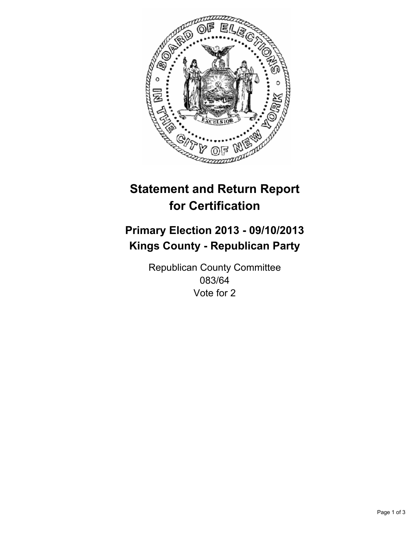

# **Statement and Return Report for Certification**

# **Primary Election 2013 - 09/10/2013 Kings County - Republican Party**

Republican County Committee 083/64 Vote for 2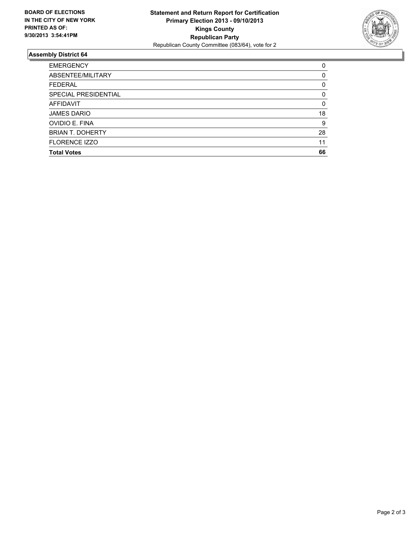

## **Assembly District 64**

| <b>EMERGENCY</b>        | 0  |
|-------------------------|----|
| ABSENTEE/MILITARY       | 0  |
| <b>FEDERAL</b>          | 0  |
| SPECIAL PRESIDENTIAL    | 0  |
| <b>AFFIDAVIT</b>        | 0  |
| <b>JAMES DARIO</b>      | 18 |
| <b>OVIDIO E. FINA</b>   | 9  |
| <b>BRIAN T. DOHERTY</b> | 28 |
| <b>FLORENCE IZZO</b>    | 11 |
| <b>Total Votes</b>      | 66 |